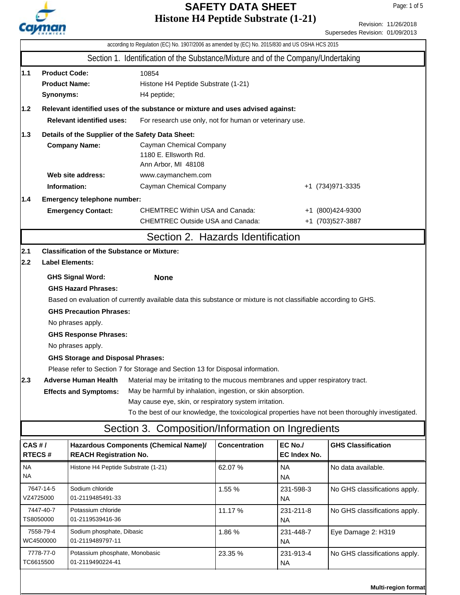

Revision: 11/26/2018 Supersedes Revision: 01/09/2013

|                                                                                             |                                                                                                                                                                                                                                                                                                                                                                                                                                                                                                                                                                                                                                                                                                                                                                                                                                                                                                    |                                                                           | according to Regulation (EC) No. 1907/2006 as amended by (EC) No. 2015/830 and US OSHA HCS 2015 |                      |                                        |                               |  |
|---------------------------------------------------------------------------------------------|----------------------------------------------------------------------------------------------------------------------------------------------------------------------------------------------------------------------------------------------------------------------------------------------------------------------------------------------------------------------------------------------------------------------------------------------------------------------------------------------------------------------------------------------------------------------------------------------------------------------------------------------------------------------------------------------------------------------------------------------------------------------------------------------------------------------------------------------------------------------------------------------------|---------------------------------------------------------------------------|-------------------------------------------------------------------------------------------------|----------------------|----------------------------------------|-------------------------------|--|
|                                                                                             |                                                                                                                                                                                                                                                                                                                                                                                                                                                                                                                                                                                                                                                                                                                                                                                                                                                                                                    |                                                                           | Section 1. Identification of the Substance/Mixture and of the Company/Undertaking               |                      |                                        |                               |  |
| 1.1                                                                                         | <b>Product Code:</b><br>10854<br><b>Product Name:</b><br>Histone H4 Peptide Substrate (1-21)<br>Synonyms:<br>H4 peptide;                                                                                                                                                                                                                                                                                                                                                                                                                                                                                                                                                                                                                                                                                                                                                                           |                                                                           |                                                                                                 |                      |                                        |                               |  |
| Relevant identified uses of the substance or mixture and uses advised against:<br> 1.2      |                                                                                                                                                                                                                                                                                                                                                                                                                                                                                                                                                                                                                                                                                                                                                                                                                                                                                                    |                                                                           |                                                                                                 |                      |                                        |                               |  |
| <b>Relevant identified uses:</b><br>For research use only, not for human or veterinary use. |                                                                                                                                                                                                                                                                                                                                                                                                                                                                                                                                                                                                                                                                                                                                                                                                                                                                                                    |                                                                           |                                                                                                 |                      |                                        |                               |  |
| $1.3$                                                                                       |                                                                                                                                                                                                                                                                                                                                                                                                                                                                                                                                                                                                                                                                                                                                                                                                                                                                                                    | Details of the Supplier of the Safety Data Sheet:<br><b>Company Name:</b> | Cayman Chemical Company<br>1180 E. Ellsworth Rd.<br>Ann Arbor, MI 48108                         |                      |                                        |                               |  |
|                                                                                             |                                                                                                                                                                                                                                                                                                                                                                                                                                                                                                                                                                                                                                                                                                                                                                                                                                                                                                    | Web site address:                                                         | www.caymanchem.com                                                                              |                      |                                        |                               |  |
|                                                                                             | Information:                                                                                                                                                                                                                                                                                                                                                                                                                                                                                                                                                                                                                                                                                                                                                                                                                                                                                       |                                                                           | Cayman Chemical Company                                                                         |                      |                                        | +1 (734) 971-3335             |  |
| 1.4                                                                                         |                                                                                                                                                                                                                                                                                                                                                                                                                                                                                                                                                                                                                                                                                                                                                                                                                                                                                                    | Emergency telephone number:                                               |                                                                                                 |                      |                                        |                               |  |
|                                                                                             |                                                                                                                                                                                                                                                                                                                                                                                                                                                                                                                                                                                                                                                                                                                                                                                                                                                                                                    | <b>Emergency Contact:</b>                                                 | <b>CHEMTREC Within USA and Canada:</b><br>+1 (800)424-9300                                      |                      |                                        |                               |  |
|                                                                                             |                                                                                                                                                                                                                                                                                                                                                                                                                                                                                                                                                                                                                                                                                                                                                                                                                                                                                                    |                                                                           | <b>CHEMTREC Outside USA and Canada:</b>                                                         |                      |                                        | +1 (703)527-3887              |  |
|                                                                                             |                                                                                                                                                                                                                                                                                                                                                                                                                                                                                                                                                                                                                                                                                                                                                                                                                                                                                                    |                                                                           | Section 2. Hazards Identification                                                               |                      |                                        |                               |  |
| 2.1 <br> 2.2 <br>2.3                                                                        | <b>Classification of the Substance or Mixture:</b><br><b>Label Elements:</b><br><b>GHS Signal Word:</b><br><b>None</b><br><b>GHS Hazard Phrases:</b><br>Based on evaluation of currently available data this substance or mixture is not classifiable according to GHS.<br><b>GHS Precaution Phrases:</b><br>No phrases apply.<br><b>GHS Response Phrases:</b><br>No phrases apply.<br><b>GHS Storage and Disposal Phrases:</b><br>Please refer to Section 7 for Storage and Section 13 for Disposal information.<br><b>Adverse Human Health</b><br>Material may be irritating to the mucous membranes and upper respiratory tract.<br>May be harmful by inhalation, ingestion, or skin absorption.<br><b>Effects and Symptoms:</b><br>May cause eye, skin, or respiratory system irritation.<br>To the best of our knowledge, the toxicological properties have not been thoroughly investigated. |                                                                           |                                                                                                 |                      |                                        |                               |  |
| CAS#/                                                                                       |                                                                                                                                                                                                                                                                                                                                                                                                                                                                                                                                                                                                                                                                                                                                                                                                                                                                                                    |                                                                           | Hazardous Components (Chemical Name)/                                                           | <b>Concentration</b> | EC No./                                | <b>GHS Classification</b>     |  |
| <b>NA</b><br><b>NA</b>                                                                      | RTECS#                                                                                                                                                                                                                                                                                                                                                                                                                                                                                                                                                                                                                                                                                                                                                                                                                                                                                             | <b>REACH Registration No.</b><br>Histone H4 Peptide Substrate (1-21)      |                                                                                                 | 62.07%               | EC Index No.<br><b>NA</b><br><b>NA</b> | No data available.            |  |
|                                                                                             | 7647-14-5<br>VZ4725000                                                                                                                                                                                                                                                                                                                                                                                                                                                                                                                                                                                                                                                                                                                                                                                                                                                                             | Sodium chloride<br>01-2119485491-33                                       |                                                                                                 | 1.55 %               | 231-598-3<br><b>NA</b>                 | No GHS classifications apply. |  |
| 7447-40-7<br>TS8050000                                                                      |                                                                                                                                                                                                                                                                                                                                                                                                                                                                                                                                                                                                                                                                                                                                                                                                                                                                                                    | Potassium chloride<br>01-2119539416-36                                    |                                                                                                 | 11.17 %              | 231-211-8<br><b>NA</b>                 | No GHS classifications apply. |  |
|                                                                                             | 7558-79-4<br>WC4500000                                                                                                                                                                                                                                                                                                                                                                                                                                                                                                                                                                                                                                                                                                                                                                                                                                                                             | Sodium phosphate, Dibasic<br>01-2119489797-11                             |                                                                                                 | 1.86%                | 231-448-7<br><b>NA</b>                 | Eye Damage 2: H319            |  |
|                                                                                             | 7778-77-0<br>TC6615500                                                                                                                                                                                                                                                                                                                                                                                                                                                                                                                                                                                                                                                                                                                                                                                                                                                                             | Potassium phosphate, Monobasic<br>01-2119490224-41                        |                                                                                                 | 23.35 %              | 231-913-4<br>NA.                       | No GHS classifications apply. |  |
|                                                                                             |                                                                                                                                                                                                                                                                                                                                                                                                                                                                                                                                                                                                                                                                                                                                                                                                                                                                                                    |                                                                           |                                                                                                 |                      |                                        |                               |  |

**Multi-region format**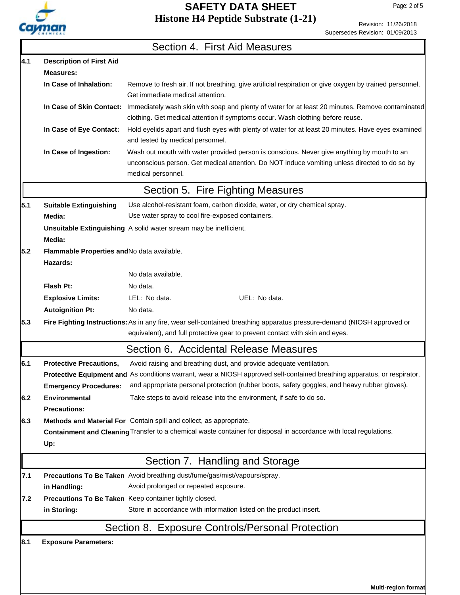

Revision: 11/26/2018 Supersedes Revision: 01/09/2013

|     |                                                                | Section 4. First Aid Measures                                                                                                                                                                                                                                                                   |  |  |  |  |
|-----|----------------------------------------------------------------|-------------------------------------------------------------------------------------------------------------------------------------------------------------------------------------------------------------------------------------------------------------------------------------------------|--|--|--|--|
| 4.1 | <b>Description of First Aid</b>                                |                                                                                                                                                                                                                                                                                                 |  |  |  |  |
|     | <b>Measures:</b>                                               |                                                                                                                                                                                                                                                                                                 |  |  |  |  |
|     | In Case of Inhalation:                                         | Remove to fresh air. If not breathing, give artificial respiration or give oxygen by trained personnel.<br>Get immediate medical attention.                                                                                                                                                     |  |  |  |  |
|     | In Case of Skin Contact:                                       | Immediately wash skin with soap and plenty of water for at least 20 minutes. Remove contaminated<br>clothing. Get medical attention if symptoms occur. Wash clothing before reuse.                                                                                                              |  |  |  |  |
|     | In Case of Eye Contact:                                        | Hold eyelids apart and flush eyes with plenty of water for at least 20 minutes. Have eyes examined<br>and tested by medical personnel.                                                                                                                                                          |  |  |  |  |
|     | In Case of Ingestion:                                          | Wash out mouth with water provided person is conscious. Never give anything by mouth to an<br>unconscious person. Get medical attention. Do NOT induce vomiting unless directed to do so by<br>medical personnel.                                                                               |  |  |  |  |
|     |                                                                | Section 5. Fire Fighting Measures                                                                                                                                                                                                                                                               |  |  |  |  |
| 5.1 | <b>Suitable Extinguishing</b>                                  | Use alcohol-resistant foam, carbon dioxide, water, or dry chemical spray.                                                                                                                                                                                                                       |  |  |  |  |
|     | Media:                                                         | Use water spray to cool fire-exposed containers.                                                                                                                                                                                                                                                |  |  |  |  |
|     | Media:                                                         | <b>Unsuitable Extinguishing</b> A solid water stream may be inefficient.                                                                                                                                                                                                                        |  |  |  |  |
| 5.2 | Flammable Properties and No data available.<br>Hazards:        |                                                                                                                                                                                                                                                                                                 |  |  |  |  |
|     |                                                                | No data available.                                                                                                                                                                                                                                                                              |  |  |  |  |
|     | Flash Pt:                                                      | No data.                                                                                                                                                                                                                                                                                        |  |  |  |  |
|     | <b>Explosive Limits:</b>                                       | LEL: No data.<br>UEL: No data.                                                                                                                                                                                                                                                                  |  |  |  |  |
|     | <b>Autoignition Pt:</b>                                        | No data.                                                                                                                                                                                                                                                                                        |  |  |  |  |
| 5.3 |                                                                | Fire Fighting Instructions: As in any fire, wear self-contained breathing apparatus pressure-demand (NIOSH approved or<br>equivalent), and full protective gear to prevent contact with skin and eyes.                                                                                          |  |  |  |  |
|     |                                                                | Section 6. Accidental Release Measures                                                                                                                                                                                                                                                          |  |  |  |  |
| 6.1 | <b>Protective Precautions,</b><br><b>Emergency Procedures:</b> | Avoid raising and breathing dust, and provide adequate ventilation.<br>Protective Equipment and As conditions warrant, wear a NIOSH approved self-contained breathing apparatus, or respirator,<br>and appropriate personal protection (rubber boots, safety goggles, and heavy rubber gloves). |  |  |  |  |
| 6.2 | <b>Environmental</b><br><b>Precautions:</b>                    | Take steps to avoid release into the environment, if safe to do so.                                                                                                                                                                                                                             |  |  |  |  |
| 6.3 |                                                                | Methods and Material For Contain spill and collect, as appropriate.                                                                                                                                                                                                                             |  |  |  |  |
|     |                                                                | Containment and Cleaning Transfer to a chemical waste container for disposal in accordance with local regulations.                                                                                                                                                                              |  |  |  |  |
|     | Up:                                                            |                                                                                                                                                                                                                                                                                                 |  |  |  |  |
|     | Section 7. Handling and Storage                                |                                                                                                                                                                                                                                                                                                 |  |  |  |  |
| 7.1 |                                                                | Precautions To Be Taken Avoid breathing dust/fume/gas/mist/vapours/spray.                                                                                                                                                                                                                       |  |  |  |  |
|     | in Handling:                                                   | Avoid prolonged or repeated exposure.                                                                                                                                                                                                                                                           |  |  |  |  |
| 7.2 |                                                                | Precautions To Be Taken Keep container tightly closed.                                                                                                                                                                                                                                          |  |  |  |  |
|     | in Storing:                                                    | Store in accordance with information listed on the product insert.                                                                                                                                                                                                                              |  |  |  |  |
|     |                                                                | Section 8. Exposure Controls/Personal Protection                                                                                                                                                                                                                                                |  |  |  |  |
| 8.1 | <b>Exposure Parameters:</b>                                    |                                                                                                                                                                                                                                                                                                 |  |  |  |  |

**Multi-region format**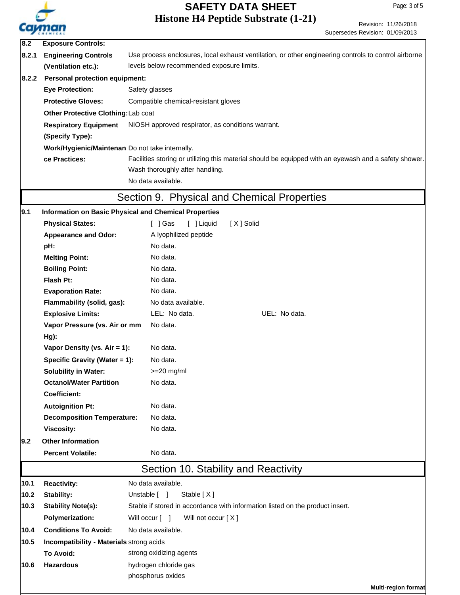

Revision: 11/26/2018

|       | <b><i><u>Administration</u></i></b>                                                                                                 | Supersedes Revision: 01/09/2013                                                                       |  |  |  |  |
|-------|-------------------------------------------------------------------------------------------------------------------------------------|-------------------------------------------------------------------------------------------------------|--|--|--|--|
| 8.2   | <b>Exposure Controls:</b>                                                                                                           |                                                                                                       |  |  |  |  |
| 8.2.1 | <b>Engineering Controls</b><br>Use process enclosures, local exhaust ventilation, or other engineering controls to control airborne |                                                                                                       |  |  |  |  |
|       | (Ventilation etc.):                                                                                                                 | levels below recommended exposure limits.                                                             |  |  |  |  |
| 8.2.2 | <b>Personal protection equipment:</b>                                                                                               |                                                                                                       |  |  |  |  |
|       | <b>Eye Protection:</b>                                                                                                              | Safety glasses                                                                                        |  |  |  |  |
|       | <b>Protective Gloves:</b>                                                                                                           | Compatible chemical-resistant gloves                                                                  |  |  |  |  |
|       | Other Protective Clothing: Lab coat                                                                                                 |                                                                                                       |  |  |  |  |
|       | <b>Respiratory Equipment</b>                                                                                                        | NIOSH approved respirator, as conditions warrant.                                                     |  |  |  |  |
|       | (Specify Type):                                                                                                                     |                                                                                                       |  |  |  |  |
|       | Work/Hygienic/Maintenan Do not take internally.                                                                                     |                                                                                                       |  |  |  |  |
|       | ce Practices:                                                                                                                       | Facilities storing or utilizing this material should be equipped with an eyewash and a safety shower. |  |  |  |  |
|       |                                                                                                                                     | Wash thoroughly after handling.                                                                       |  |  |  |  |
|       |                                                                                                                                     | No data available.                                                                                    |  |  |  |  |
|       |                                                                                                                                     | Section 9. Physical and Chemical Properties                                                           |  |  |  |  |
| 9.1   |                                                                                                                                     | <b>Information on Basic Physical and Chemical Properties</b>                                          |  |  |  |  |
|       | <b>Physical States:</b>                                                                                                             | [X] Solid<br>$\lceil$ ] Gas<br>[ ] Liquid                                                             |  |  |  |  |
|       | <b>Appearance and Odor:</b>                                                                                                         | A lyophilized peptide                                                                                 |  |  |  |  |
|       | pH:                                                                                                                                 | No data.                                                                                              |  |  |  |  |
|       | <b>Melting Point:</b>                                                                                                               | No data.                                                                                              |  |  |  |  |
|       | <b>Boiling Point:</b>                                                                                                               | No data.                                                                                              |  |  |  |  |
|       | Flash Pt:                                                                                                                           | No data.                                                                                              |  |  |  |  |
|       | <b>Evaporation Rate:</b>                                                                                                            | No data.                                                                                              |  |  |  |  |
|       | Flammability (solid, gas):                                                                                                          | No data available.                                                                                    |  |  |  |  |
|       | <b>Explosive Limits:</b>                                                                                                            | LEL: No data.<br>UEL: No data.                                                                        |  |  |  |  |
|       | Vapor Pressure (vs. Air or mm                                                                                                       | No data.                                                                                              |  |  |  |  |
|       | Hg):                                                                                                                                |                                                                                                       |  |  |  |  |
|       | Vapor Density (vs. Air = 1):                                                                                                        | No data.                                                                                              |  |  |  |  |
|       | Specific Gravity (Water = 1):                                                                                                       | No data.                                                                                              |  |  |  |  |
|       | <b>Solubility in Water:</b>                                                                                                         | $>=20$ mg/ml                                                                                          |  |  |  |  |
|       | <b>Octanol/Water Partition</b>                                                                                                      | No data.                                                                                              |  |  |  |  |
|       | <b>Coefficient:</b>                                                                                                                 |                                                                                                       |  |  |  |  |
|       | <b>Autoignition Pt:</b>                                                                                                             | No data.                                                                                              |  |  |  |  |
|       | <b>Decomposition Temperature:</b>                                                                                                   | No data.                                                                                              |  |  |  |  |
|       | <b>Viscosity:</b>                                                                                                                   | No data.                                                                                              |  |  |  |  |
| 9.2   | <b>Other Information</b>                                                                                                            |                                                                                                       |  |  |  |  |
|       | <b>Percent Volatile:</b>                                                                                                            | No data.                                                                                              |  |  |  |  |
|       |                                                                                                                                     | Section 10. Stability and Reactivity                                                                  |  |  |  |  |
| 10.1  | <b>Reactivity:</b>                                                                                                                  | No data available.                                                                                    |  |  |  |  |
| 10.2  | Stability:                                                                                                                          | Unstable [ ]<br>Stable [X]                                                                            |  |  |  |  |
| 10.3  | <b>Stability Note(s):</b>                                                                                                           | Stable if stored in accordance with information listed on the product insert.                         |  |  |  |  |
|       | <b>Polymerization:</b>                                                                                                              | Will occur [ ]<br>Will not occur [X]                                                                  |  |  |  |  |
| 10.4  | <b>Conditions To Avoid:</b>                                                                                                         | No data available.                                                                                    |  |  |  |  |
| 10.5  |                                                                                                                                     | Incompatibility - Materials strong acids                                                              |  |  |  |  |
|       | <b>To Avoid:</b>                                                                                                                    | strong oxidizing agents                                                                               |  |  |  |  |
| 10.6  | <b>Hazardous</b>                                                                                                                    | hydrogen chloride gas                                                                                 |  |  |  |  |
|       |                                                                                                                                     | phosphorus oxides                                                                                     |  |  |  |  |
|       |                                                                                                                                     | <b>Multi-region format</b>                                                                            |  |  |  |  |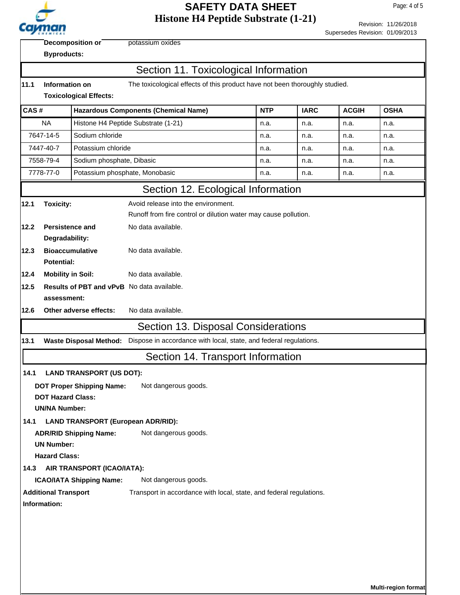

Revision: 11/26/2018

|                                                                                | <b><i><u>Administration</u></i></b>                                                                                            |                                           |                                                                                                        |            |             | Supersedes Revision: 01/09/2013 |             |  |  |
|--------------------------------------------------------------------------------|--------------------------------------------------------------------------------------------------------------------------------|-------------------------------------------|--------------------------------------------------------------------------------------------------------|------------|-------------|---------------------------------|-------------|--|--|
|                                                                                | potassium oxides<br><b>Decomposition or</b><br><b>Byproducts:</b>                                                              |                                           |                                                                                                        |            |             |                                 |             |  |  |
|                                                                                | Section 11. Toxicological Information                                                                                          |                                           |                                                                                                        |            |             |                                 |             |  |  |
| 11.1                                                                           | Information on<br>The toxicological effects of this product have not been thoroughly studied.<br><b>Toxicological Effects:</b> |                                           |                                                                                                        |            |             |                                 |             |  |  |
| CAS#                                                                           |                                                                                                                                |                                           | <b>Hazardous Components (Chemical Name)</b>                                                            | <b>NTP</b> | <b>IARC</b> | <b>ACGIH</b>                    | <b>OSHA</b> |  |  |
|                                                                                | <b>NA</b>                                                                                                                      |                                           | Histone H4 Peptide Substrate (1-21)                                                                    | n.a.       | n.a.        | n.a.                            | n.a.        |  |  |
| 7647-14-5<br>Sodium chloride                                                   |                                                                                                                                |                                           |                                                                                                        | n.a.       | n.a.        | n.a.                            | n.a.        |  |  |
| 7447-40-7                                                                      |                                                                                                                                | Potassium chloride                        |                                                                                                        | n.a.       | n.a.        | n.a.                            | n.a.        |  |  |
|                                                                                | 7558-79-4                                                                                                                      | Sodium phosphate, Dibasic                 |                                                                                                        | n.a.       | n.a.        | n.a.                            | n.a.        |  |  |
|                                                                                | 7778-77-0                                                                                                                      | Potassium phosphate, Monobasic            |                                                                                                        | n.a.       | n.a.        | n.a.                            | n.a.        |  |  |
|                                                                                |                                                                                                                                |                                           | Section 12. Ecological Information                                                                     |            |             |                                 |             |  |  |
| 12.1<br>12.2                                                                   | <b>Toxicity:</b><br>Persistence and                                                                                            |                                           | Avoid release into the environment.<br>Runoff from fire control or dilution water may cause pollution. |            |             |                                 |             |  |  |
|                                                                                | Degradability:                                                                                                                 |                                           | No data available.                                                                                     |            |             |                                 |             |  |  |
| 12.3                                                                           | <b>Bioaccumulative</b><br><b>Potential:</b>                                                                                    |                                           | No data available.                                                                                     |            |             |                                 |             |  |  |
| 12.4                                                                           | <b>Mobility in Soil:</b>                                                                                                       |                                           | No data available.                                                                                     |            |             |                                 |             |  |  |
| 12.5<br><b>Results of PBT and vPvB</b> No data available.                      |                                                                                                                                |                                           |                                                                                                        |            |             |                                 |             |  |  |
|                                                                                | assessment:                                                                                                                    |                                           |                                                                                                        |            |             |                                 |             |  |  |
| 12.6                                                                           | No data available.<br>Other adverse effects:                                                                                   |                                           |                                                                                                        |            |             |                                 |             |  |  |
|                                                                                | Section 13. Disposal Considerations                                                                                            |                                           |                                                                                                        |            |             |                                 |             |  |  |
| 13.1                                                                           |                                                                                                                                | <b>Waste Disposal Method:</b>             | Dispose in accordance with local, state, and federal regulations.                                      |            |             |                                 |             |  |  |
|                                                                                |                                                                                                                                |                                           | Section 14. Transport Information                                                                      |            |             |                                 |             |  |  |
| 14.1                                                                           | <b>LAND TRANSPORT (US DOT):</b>                                                                                                |                                           |                                                                                                        |            |             |                                 |             |  |  |
|                                                                                | <b>DOT Proper Shipping Name:</b><br>Not dangerous goods.<br><b>DOT Hazard Class:</b><br><b>UN/NA Number:</b>                   |                                           |                                                                                                        |            |             |                                 |             |  |  |
| 14.1                                                                           |                                                                                                                                | <b>LAND TRANSPORT (European ADR/RID):</b> |                                                                                                        |            |             |                                 |             |  |  |
| <b>ADR/RID Shipping Name:</b><br><b>UN Number:</b>                             |                                                                                                                                |                                           | Not dangerous goods.                                                                                   |            |             |                                 |             |  |  |
|                                                                                | <b>Hazard Class:</b><br>AIR TRANSPORT (ICAO/IATA):                                                                             |                                           |                                                                                                        |            |             |                                 |             |  |  |
| 14.3                                                                           |                                                                                                                                |                                           | Not dangerous goods.                                                                                   |            |             |                                 |             |  |  |
| <b>ICAO/IATA Shipping Name:</b><br><b>Additional Transport</b><br>Information: |                                                                                                                                |                                           | Transport in accordance with local, state, and federal regulations.                                    |            |             |                                 |             |  |  |
|                                                                                |                                                                                                                                |                                           |                                                                                                        |            |             |                                 |             |  |  |